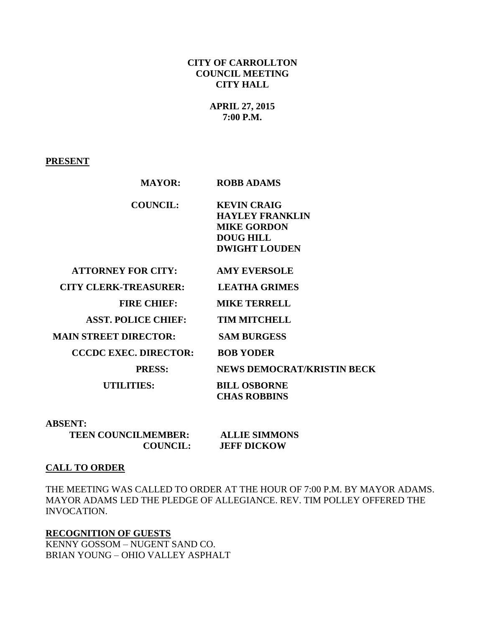### **CITY OF CARROLLTON COUNCIL MEETING CITY HALL**

## **APRIL 27, 2015 7:00 P.M.**

#### **PRESENT**

| <b>MAYOR:</b>                | <b>ROBB ADAMS</b>                                                                                              |
|------------------------------|----------------------------------------------------------------------------------------------------------------|
| <b>COUNCIL:</b>              | <b>KEVIN CRAIG</b><br><b>HAYLEY FRANKLIN</b><br><b>MIKE GORDON</b><br><b>DOUG HILL</b><br><b>DWIGHT LOUDEN</b> |
| <b>ATTORNEY FOR CITY:</b>    | <b>AMY EVERSOLE</b>                                                                                            |
| <b>CITY CLERK-TREASURER:</b> | <b>LEATHA GRIMES</b>                                                                                           |
| <b>FIRE CHIEF:</b>           | <b>MIKE TERRELL</b>                                                                                            |
| <b>ASST. POLICE CHIEF:</b>   | <b>TIM MITCHELL</b>                                                                                            |
| <b>MAIN STREET DIRECTOR:</b> | <b>SAM BURGESS</b>                                                                                             |
| <b>CCCDC EXEC. DIRECTOR:</b> | <b>BOB YODER</b>                                                                                               |
| <b>PRESS:</b>                | <b>NEWS DEMOCRAT/KRISTIN BECK</b>                                                                              |
| <b>UTILITIES:</b>            | <b>BILL OSBORNE</b><br><b>CHAS ROBBINS</b>                                                                     |

**ABSENT:** 

 **TEEN COUNCILMEMBER: ALLIE SIMMONS**

 **COUNCIL: JEFF DICKOW** 

#### **CALL TO ORDER**

THE MEETING WAS CALLED TO ORDER AT THE HOUR OF 7:00 P.M. BY MAYOR ADAMS. MAYOR ADAMS LED THE PLEDGE OF ALLEGIANCE. REV. TIM POLLEY OFFERED THE INVOCATION.

**RECOGNITION OF GUESTS** KENNY GOSSOM – NUGENT SAND CO. BRIAN YOUNG – OHIO VALLEY ASPHALT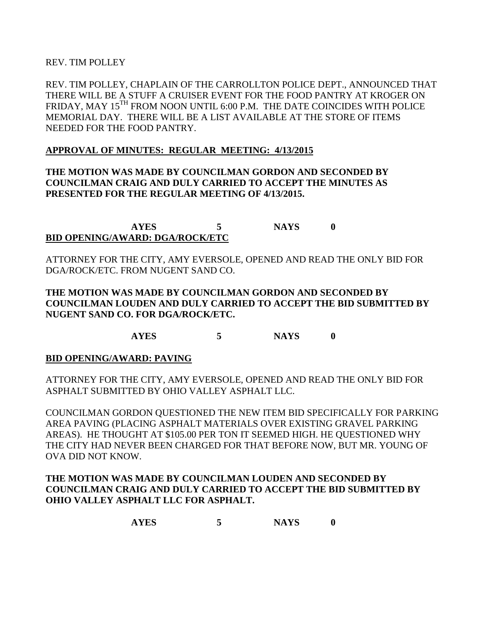REV. TIM POLLEY

REV. TIM POLLEY, CHAPLAIN OF THE CARROLLTON POLICE DEPT., ANNOUNCED THAT THERE WILL BE A STUFF A CRUISER EVENT FOR THE FOOD PANTRY AT KROGER ON FRIDAY, MAY 15<sup>TH</sup> FROM NOON UNTIL 6:00 P.M. THE DATE COINCIDES WITH POLICE MEMORIAL DAY. THERE WILL BE A LIST AVAILABLE AT THE STORE OF ITEMS NEEDED FOR THE FOOD PANTRY.

#### **APPROVAL OF MINUTES: REGULAR MEETING: 4/13/2015**

## **THE MOTION WAS MADE BY COUNCILMAN GORDON AND SECONDED BY COUNCILMAN CRAIG AND DULY CARRIED TO ACCEPT THE MINUTES AS PRESENTED FOR THE REGULAR MEETING OF 4/13/2015.**

**AYES 5 NAYS 0 BID OPENING/AWARD: DGA/ROCK/ETC**

ATTORNEY FOR THE CITY, AMY EVERSOLE, OPENED AND READ THE ONLY BID FOR DGA/ROCK/ETC. FROM NUGENT SAND CO.

#### **THE MOTION WAS MADE BY COUNCILMAN GORDON AND SECONDED BY COUNCILMAN LOUDEN AND DULY CARRIED TO ACCEPT THE BID SUBMITTED BY NUGENT SAND CO. FOR DGA/ROCK/ETC.**

**AYES 5 NAYS 0**

#### **BID OPENING/AWARD: PAVING**

ATTORNEY FOR THE CITY, AMY EVERSOLE, OPENED AND READ THE ONLY BID FOR ASPHALT SUBMITTED BY OHIO VALLEY ASPHALT LLC.

COUNCILMAN GORDON QUESTIONED THE NEW ITEM BID SPECIFICALLY FOR PARKING AREA PAVING (PLACING ASPHALT MATERIALS OVER EXISTING GRAVEL PARKING AREAS). HE THOUGHT AT \$105.00 PER TON IT SEEMED HIGH. HE QUESTIONED WHY THE CITY HAD NEVER BEEN CHARGED FOR THAT BEFORE NOW, BUT MR. YOUNG OF OVA DID NOT KNOW.

### **THE MOTION WAS MADE BY COUNCILMAN LOUDEN AND SECONDED BY COUNCILMAN CRAIG AND DULY CARRIED TO ACCEPT THE BID SUBMITTED BY OHIO VALLEY ASPHALT LLC FOR ASPHALT.**

**AYES 5 NAYS 0**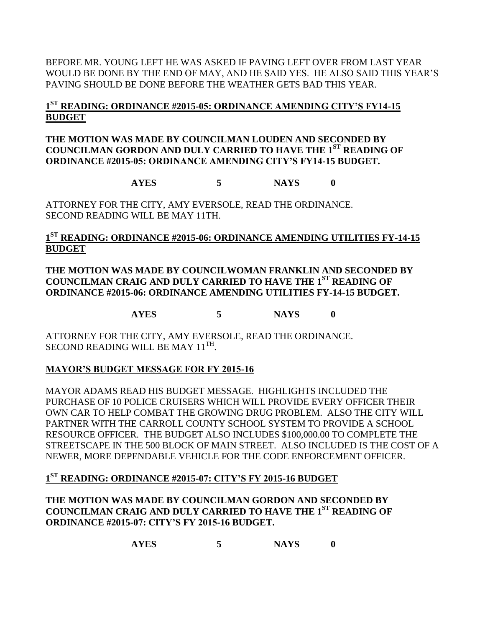BEFORE MR. YOUNG LEFT HE WAS ASKED IF PAVING LEFT OVER FROM LAST YEAR WOULD BE DONE BY THE END OF MAY, AND HE SAID YES. HE ALSO SAID THIS YEAR'S PAVING SHOULD BE DONE BEFORE THE WEATHER GETS BAD THIS YEAR.

# **1 ST READING: ORDINANCE #2015-05: ORDINANCE AMENDING CITY'S FY14-15 BUDGET**

### **THE MOTION WAS MADE BY COUNCILMAN LOUDEN AND SECONDED BY COUNCILMAN GORDON AND DULY CARRIED TO HAVE THE 1ST READING OF ORDINANCE #2015-05: ORDINANCE AMENDING CITY'S FY14-15 BUDGET.**

**AYES 5 NAYS 0**

ATTORNEY FOR THE CITY, AMY EVERSOLE, READ THE ORDINANCE. SECOND READING WILL BE MAY 11TH.

# **1 ST READING: ORDINANCE #2015-06: ORDINANCE AMENDING UTILITIES FY-14-15 BUDGET**

## **THE MOTION WAS MADE BY COUNCILWOMAN FRANKLIN AND SECONDED BY COUNCILMAN CRAIG AND DULY CARRIED TO HAVE THE 1ST READING OF ORDINANCE #2015-06: ORDINANCE AMENDING UTILITIES FY-14-15 BUDGET.**

**AYES 5 NAYS 0**

ATTORNEY FOR THE CITY, AMY EVERSOLE, READ THE ORDINANCE. SECOND READING WILL BE MAY  $11^{\text{TH}}$ .

# **MAYOR'S BUDGET MESSAGE FOR FY 2015-16**

MAYOR ADAMS READ HIS BUDGET MESSAGE. HIGHLIGHTS INCLUDED THE PURCHASE OF 10 POLICE CRUISERS WHICH WILL PROVIDE EVERY OFFICER THEIR OWN CAR TO HELP COMBAT THE GROWING DRUG PROBLEM. ALSO THE CITY WILL PARTNER WITH THE CARROLL COUNTY SCHOOL SYSTEM TO PROVIDE A SCHOOL RESOURCE OFFICER. THE BUDGET ALSO INCLUDES \$100,000.00 TO COMPLETE THE STREETSCAPE IN THE 500 BLOCK OF MAIN STREET. ALSO INCLUDED IS THE COST OF A NEWER, MORE DEPENDABLE VEHICLE FOR THE CODE ENFORCEMENT OFFICER.

# **1 ST READING: ORDINANCE #2015-07: CITY'S FY 2015-16 BUDGET**

**THE MOTION WAS MADE BY COUNCILMAN GORDON AND SECONDED BY COUNCILMAN CRAIG AND DULY CARRIED TO HAVE THE 1ST READING OF ORDINANCE #2015-07: CITY'S FY 2015-16 BUDGET.**

**AYES 5 NAYS 0**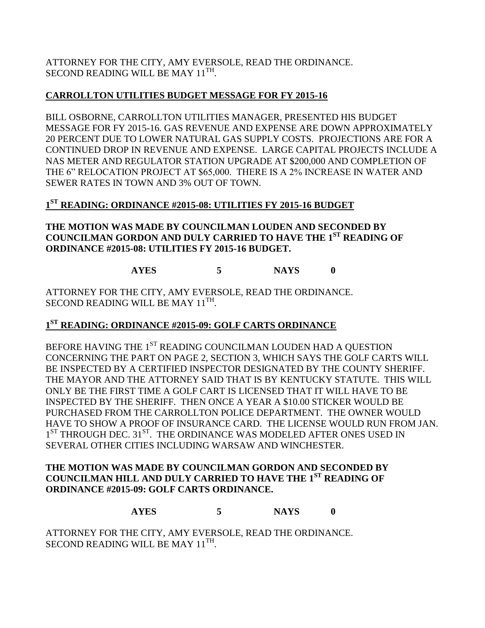ATTORNEY FOR THE CITY, AMY EVERSOLE, READ THE ORDINANCE. SECOND READING WILL BE MAY  $11^{\text{TH}}$ .

# **CARROLLTON UTILITIES BUDGET MESSAGE FOR FY 2015-16**

BILL OSBORNE, CARROLLTON UTILITIES MANAGER, PRESENTED HIS BUDGET MESSAGE FOR FY 2015-16. GAS REVENUE AND EXPENSE ARE DOWN APPROXIMATELY 20 PERCENT DUE TO LOWER NATURAL GAS SUPPLY COSTS. PROJECTIONS ARE FOR A CONTINUED DROP IN REVENUE AND EXPENSE. LARGE CAPITAL PROJECTS INCLUDE A NAS METER AND REGULATOR STATION UPGRADE AT \$200,000 AND COMPLETION OF THE 6" RELOCATION PROJECT AT \$65,000. THERE IS A 2% INCREASE IN WATER AND SEWER RATES IN TOWN AND 3% OUT OF TOWN.

# **1 ST READING: ORDINANCE #2015-08: UTILITIES FY 2015-16 BUDGET**

**THE MOTION WAS MADE BY COUNCILMAN LOUDEN AND SECONDED BY COUNCILMAN GORDON AND DULY CARRIED TO HAVE THE 1ST READING OF ORDINANCE #2015-08: UTILITIES FY 2015-16 BUDGET.**

# **AYES 5 NAYS 0**

ATTORNEY FOR THE CITY, AMY EVERSOLE, READ THE ORDINANCE. SECOND READING WILL BE MAY  $11^{\text{TH}}$ .

# **1 ST READING: ORDINANCE #2015-09: GOLF CARTS ORDINANCE**

BEFORE HAVING THE 1<sup>ST</sup> READING COUNCILMAN LOUDEN HAD A QUESTION CONCERNING THE PART ON PAGE 2, SECTION 3, WHICH SAYS THE GOLF CARTS WILL BE INSPECTED BY A CERTIFIED INSPECTOR DESIGNATED BY THE COUNTY SHERIFF. THE MAYOR AND THE ATTORNEY SAID THAT IS BY KENTUCKY STATUTE. THIS WILL ONLY BE THE FIRST TIME A GOLF CART IS LICENSED THAT IT WILL HAVE TO BE INSPECTED BY THE SHERIFF. THEN ONCE A YEAR A \$10.00 STICKER WOULD BE PURCHASED FROM THE CARROLLTON POLICE DEPARTMENT. THE OWNER WOULD HAVE TO SHOW A PROOF OF INSURANCE CARD. THE LICENSE WOULD RUN FROM JAN.  $1<sup>ST</sup>$  THROUGH DEC.  $31<sup>ST</sup>$ . THE ORDINANCE WAS MODELED AFTER ONES USED IN SEVERAL OTHER CITIES INCLUDING WARSAW AND WINCHESTER.

### **THE MOTION WAS MADE BY COUNCILMAN GORDON AND SECONDED BY COUNCILMAN HILL AND DULY CARRIED TO HAVE THE 1ST READING OF ORDINANCE #2015-09: GOLF CARTS ORDINANCE.**

**AYES 5 NAYS 0**

ATTORNEY FOR THE CITY, AMY EVERSOLE, READ THE ORDINANCE. SECOND READING WILL BE MAY  $11^{\text{TH}}$ .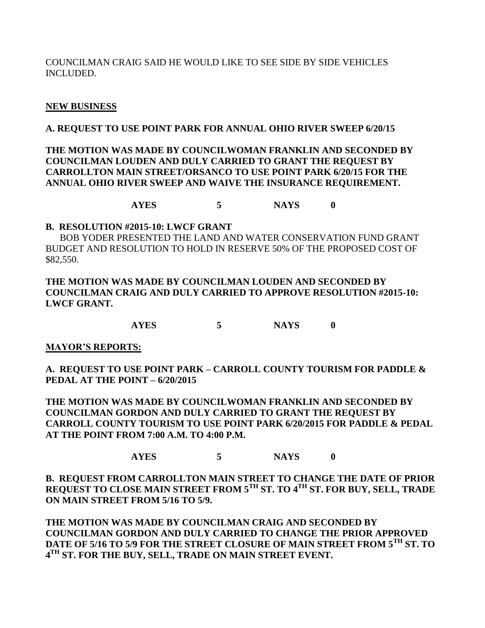COUNCILMAN CRAIG SAID HE WOULD LIKE TO SEE SIDE BY SIDE VEHICLES INCLUDED.

### **NEW BUSINESS**

## **A. REQUEST TO USE POINT PARK FOR ANNUAL OHIO RIVER SWEEP 6/20/15**

**THE MOTION WAS MADE BY COUNCILWOMAN FRANKLIN AND SECONDED BY COUNCILMAN LOUDEN AND DULY CARRIED TO GRANT THE REQUEST BY CARROLLTON MAIN STREET/ORSANCO TO USE POINT PARK 6/20/15 FOR THE ANNUAL OHIO RIVER SWEEP AND WAIVE THE INSURANCE REQUIREMENT.**

**AYES 5 NAYS 0**

#### **B. RESOLUTION #2015-10: LWCF GRANT**

 BOB YODER PRESENTED THE LAND AND WATER CONSERVATION FUND GRANT BUDGET AND RESOLUTION TO HOLD IN RESERVE 50% OF THE PROPOSED COST OF \$82,550.

# **THE MOTION WAS MADE BY COUNCILMAN LOUDEN AND SECONDED BY COUNCILMAN CRAIG AND DULY CARRIED TO APPROVE RESOLUTION #2015-10: LWCF GRANT.**

**AYES 5 NAYS 0**

## **MAYOR'S REPORTS:**

**A. REQUEST TO USE POINT PARK – CARROLL COUNTY TOURISM FOR PADDLE & PEDAL AT THE POINT – 6/20/2015**

**THE MOTION WAS MADE BY COUNCILWOMAN FRANKLIN AND SECONDED BY COUNCILMAN GORDON AND DULY CARRIED TO GRANT THE REQUEST BY CARROLL COUNTY TOURISM TO USE POINT PARK 6/20/2015 FOR PADDLE & PEDAL AT THE POINT FROM 7:00 A.M. TO 4:00 P.M.**

**AYES 5 NAYS 0**

**B. REQUEST FROM CARROLLTON MAIN STREET TO CHANGE THE DATE OF PRIOR REQUEST TO CLOSE MAIN STREET FROM 5TH ST. TO 4TH ST. FOR BUY, SELL, TRADE ON MAIN STREET FROM 5/16 TO 5/9.**

**THE MOTION WAS MADE BY COUNCILMAN CRAIG AND SECONDED BY COUNCILMAN GORDON AND DULY CARRIED TO CHANGE THE PRIOR APPROVED DATE OF 5/16 TO 5/9 FOR THE STREET CLOSURE OF MAIN STREET FROM 5TH ST. TO 4 TH ST. FOR THE BUY, SELL, TRADE ON MAIN STREET EVENT.**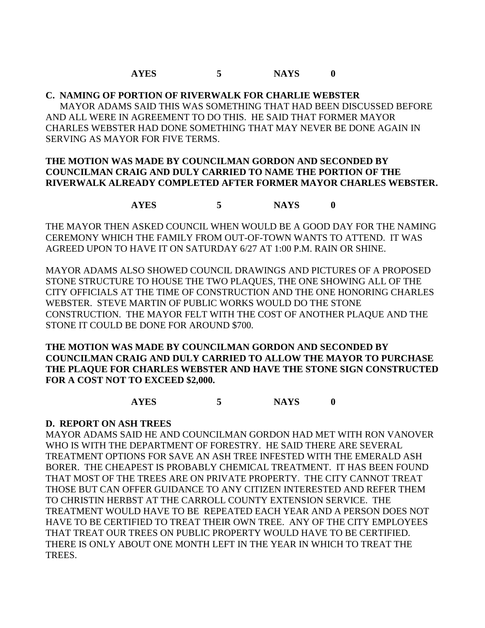### **AYES 5 NAYS 0**

**C. NAMING OF PORTION OF RIVERWALK FOR CHARLIE WEBSTER** MAYOR ADAMS SAID THIS WAS SOMETHING THAT HAD BEEN DISCUSSED BEFORE AND ALL WERE IN AGREEMENT TO DO THIS. HE SAID THAT FORMER MAYOR CHARLES WEBSTER HAD DONE SOMETHING THAT MAY NEVER BE DONE AGAIN IN SERVING AS MAYOR FOR FIVE TERMS.

### **THE MOTION WAS MADE BY COUNCILMAN GORDON AND SECONDED BY COUNCILMAN CRAIG AND DULY CARRIED TO NAME THE PORTION OF THE RIVERWALK ALREADY COMPLETED AFTER FORMER MAYOR CHARLES WEBSTER.**

# **AYES 5 NAYS 0**

THE MAYOR THEN ASKED COUNCIL WHEN WOULD BE A GOOD DAY FOR THE NAMING CEREMONY WHICH THE FAMILY FROM OUT-OF-TOWN WANTS TO ATTEND. IT WAS AGREED UPON TO HAVE IT ON SATURDAY 6/27 AT 1:00 P.M. RAIN OR SHINE.

MAYOR ADAMS ALSO SHOWED COUNCIL DRAWINGS AND PICTURES OF A PROPOSED STONE STRUCTURE TO HOUSE THE TWO PLAQUES, THE ONE SHOWING ALL OF THE CITY OFFICIALS AT THE TIME OF CONSTRUCTION AND THE ONE HONORING CHARLES WEBSTER. STEVE MARTIN OF PUBLIC WORKS WOULD DO THE STONE CONSTRUCTION. THE MAYOR FELT WITH THE COST OF ANOTHER PLAQUE AND THE STONE IT COULD BE DONE FOR AROUND \$700.

**THE MOTION WAS MADE BY COUNCILMAN GORDON AND SECONDED BY COUNCILMAN CRAIG AND DULY CARRIED TO ALLOW THE MAYOR TO PURCHASE THE PLAQUE FOR CHARLES WEBSTER AND HAVE THE STONE SIGN CONSTRUCTED FOR A COST NOT TO EXCEED \$2,000.**

## **AYES 5 NAYS 0**

#### **D. REPORT ON ASH TREES**

MAYOR ADAMS SAID HE AND COUNCILMAN GORDON HAD MET WITH RON VANOVER WHO IS WITH THE DEPARTMENT OF FORESTRY. HE SAID THERE ARE SEVERAL TREATMENT OPTIONS FOR SAVE AN ASH TREE INFESTED WITH THE EMERALD ASH BORER. THE CHEAPEST IS PROBABLY CHEMICAL TREATMENT. IT HAS BEEN FOUND THAT MOST OF THE TREES ARE ON PRIVATE PROPERTY. THE CITY CANNOT TREAT THOSE BUT CAN OFFER GUIDANCE TO ANY CITIZEN INTERESTED AND REFER THEM TO CHRISTIN HERBST AT THE CARROLL COUNTY EXTENSION SERVICE. THE TREATMENT WOULD HAVE TO BE REPEATED EACH YEAR AND A PERSON DOES NOT HAVE TO BE CERTIFIED TO TREAT THEIR OWN TREE. ANY OF THE CITY EMPLOYEES THAT TREAT OUR TREES ON PUBLIC PROPERTY WOULD HAVE TO BE CERTIFIED. THERE IS ONLY ABOUT ONE MONTH LEFT IN THE YEAR IN WHICH TO TREAT THE TREES.